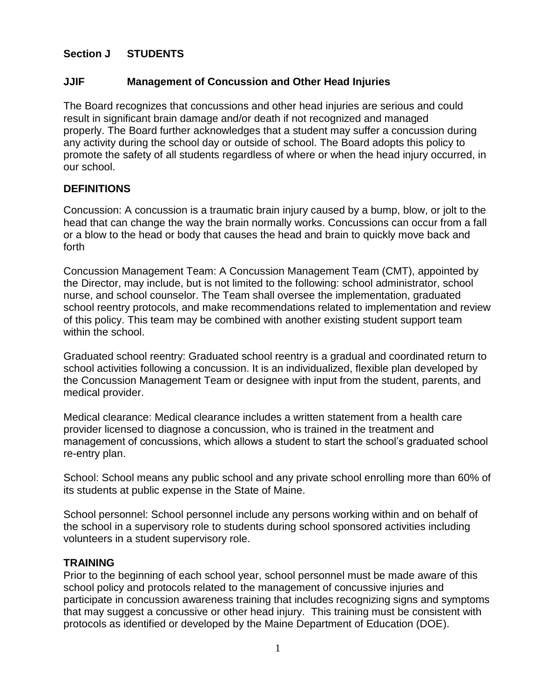# **Section J STUDENTS**

### **JJIF Management of Concussion and Other Head Injuries**

The Board recognizes that concussions and other head injuries are serious and could result in significant brain damage and/or death if not recognized and managed properly. The Board further acknowledges that a student may suffer a concussion during any activity during the school day or outside of school. The Board adopts this policy to promote the safety of all students regardless of where or when the head injury occurred, in our school.

### **DEFINITIONS**

Concussion: A concussion is a traumatic brain injury caused by a bump, blow, or jolt to the head that can change the way the brain normally works. Concussions can occur from a fall or a blow to the head or body that causes the head and brain to quickly move back and forth

Concussion Management Team: A Concussion Management Team (CMT), appointed by the Director, may include, but is not limited to the following: school administrator, school nurse, and school counselor. The Team shall oversee the implementation, graduated school reentry protocols, and make recommendations related to implementation and review of this policy. This team may be combined with another existing student support team within the school.

Graduated school reentry: Graduated school reentry is a gradual and coordinated return to school activities following a concussion. It is an individualized, flexible plan developed by the Concussion Management Team or designee with input from the student, parents, and medical provider.

Medical clearance: Medical clearance includes a written statement from a health care provider licensed to diagnose a concussion, who is trained in the treatment and management of concussions, which allows a student to start the school's graduated school re-entry plan.

School: School means any public school and any private school enrolling more than 60% of its students at public expense in the State of Maine.

School personnel: School personnel include any persons working within and on behalf of the school in a supervisory role to students during school sponsored activities including volunteers in a student supervisory role.

#### **TRAINING**

Prior to the beginning of each school year, school personnel must be made aware of this school policy and protocols related to the management of concussive injuries and participate in concussion awareness training that includes recognizing signs and symptoms that may suggest a concussive or other head injury. This training must be consistent with protocols as identified or developed by the Maine Department of Education (DOE).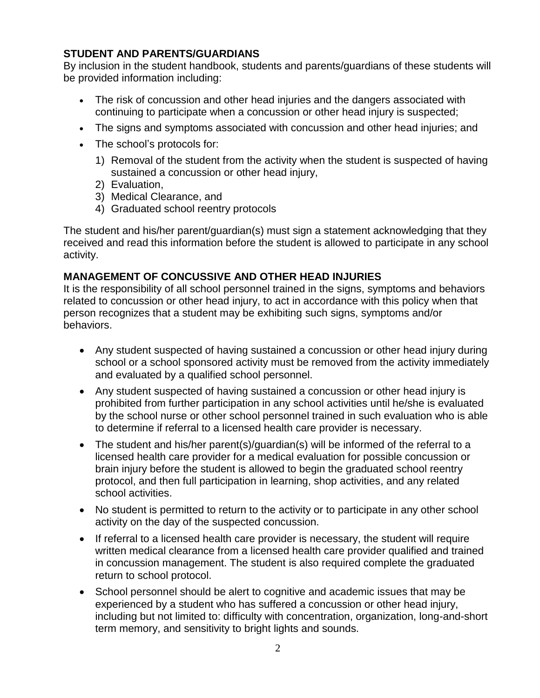# **STUDENT AND PARENTS/GUARDIANS**

By inclusion in the student handbook, students and parents/guardians of these students will be provided information including:

- The risk of concussion and other head injuries and the dangers associated with continuing to participate when a concussion or other head injury is suspected;
- The signs and symptoms associated with concussion and other head injuries; and
- The school's protocols for:
	- 1) Removal of the student from the activity when the student is suspected of having sustained a concussion or other head injury,
	- 2) Evaluation,
	- 3) Medical Clearance, and
	- 4) Graduated school reentry protocols

The student and his/her parent/guardian(s) must sign a statement acknowledging that they received and read this information before the student is allowed to participate in any school activity.

# **MANAGEMENT OF CONCUSSIVE AND OTHER HEAD INJURIES**

It is the responsibility of all school personnel trained in the signs, symptoms and behaviors related to concussion or other head injury, to act in accordance with this policy when that person recognizes that a student may be exhibiting such signs, symptoms and/or behaviors.

- Any student suspected of having sustained a concussion or other head injury during school or a school sponsored activity must be removed from the activity immediately and evaluated by a qualified school personnel.
- Any student suspected of having sustained a concussion or other head injury is prohibited from further participation in any school activities until he/she is evaluated by the school nurse or other school personnel trained in such evaluation who is able to determine if referral to a licensed health care provider is necessary.
- The student and his/her parent(s)/guardian(s) will be informed of the referral to a licensed health care provider for a medical evaluation for possible concussion or brain injury before the student is allowed to begin the graduated school reentry protocol, and then full participation in learning, shop activities, and any related school activities.
- No student is permitted to return to the activity or to participate in any other school activity on the day of the suspected concussion.
- If referral to a licensed health care provider is necessary, the student will require written medical clearance from a licensed health care provider qualified and trained in concussion management. The student is also required complete the graduated return to school protocol.
- School personnel should be alert to cognitive and academic issues that may be experienced by a student who has suffered a concussion or other head injury, including but not limited to: difficulty with concentration, organization, long-and-short term memory, and sensitivity to bright lights and sounds.